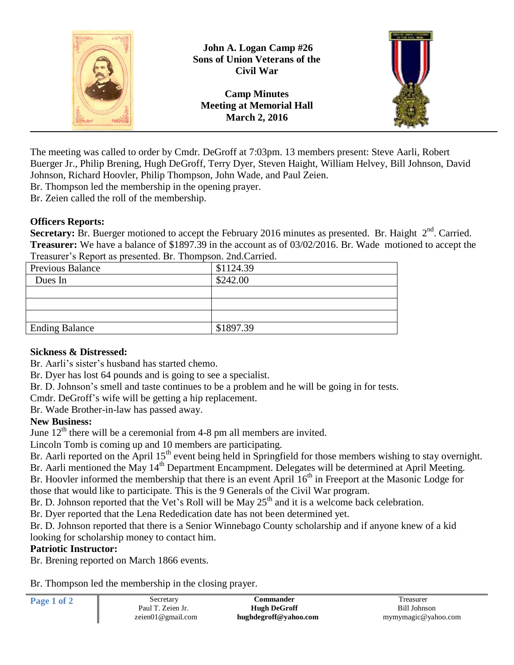

The meeting was called to order by Cmdr. DeGroff at 7:03pm. 13 members present: Steve Aarli, Robert Buerger Jr., Philip Brening, Hugh DeGroff, Terry Dyer, Steven Haight, William Helvey, Bill Johnson, David Johnson, Richard Hoovler, Philip Thompson, John Wade, and Paul Zeien.

Br. Thompson led the membership in the opening prayer.

Br. Zeien called the roll of the membership.

### **Officers Reports:**

Secretary: Br. Buerger motioned to accept the February 2016 minutes as presented. Br. Haight 2<sup>nd</sup>. Carried. **Treasurer:** We have a balance of \$1897.39 in the account as of 03/02/2016. Br. Wade motioned to accept the Treasurer's Report as presented. Br. Thompson. 2nd.Carried.

| <b>Previous Balance</b> | \$1124.39 |
|-------------------------|-----------|
| Dues In                 | \$242.00  |
|                         |           |
|                         |           |
|                         |           |
| <b>Ending Balance</b>   | \$1897.39 |

## **Sickness & Distressed:**

Br. Aarli's sister's husband has started chemo.

Br. Dyer has lost 64 pounds and is going to see a specialist.

Br. D. Johnson's smell and taste continues to be a problem and he will be going in for tests.

Cmdr. DeGroff's wife will be getting a hip replacement.

Br. Wade Brother-in-law has passed away.

## **New Business:**

June  $12<sup>th</sup>$  there will be a ceremonial from 4-8 pm all members are invited.

Lincoln Tomb is coming up and 10 members are participating.

Br. Aarli reported on the April 15<sup>th</sup> event being held in Springfield for those members wishing to stay overnight. Br. Aarli mentioned the May 14<sup>th</sup> Department Encampment. Delegates will be determined at April Meeting. Br. Hoovler informed the membership that there is an event April  $16<sup>th</sup>$  in Freeport at the Masonic Lodge for

those that would like to participate. This is the 9 Generals of the Civil War program.

Br. D. Johnson reported that the Vet's Roll will be May 25<sup>th</sup> and it is a welcome back celebration.

Br. Dyer reported that the Lena Rededication date has not been determined yet.

Br. D. Johnson reported that there is a Senior Winnebago County scholarship and if anyone knew of a kid looking for scholarship money to contact him.

## **Patriotic Instructor:**

Br. Brening reported on March 1866 events.

Br. Thompson led the membership in the closing prayer.

| Page 1 of 2 | Secretary         | Commander             | Treasurer           |
|-------------|-------------------|-----------------------|---------------------|
|             | Paul T. Zeien Jr. | <b>Hugh DeGroff</b>   | Bill Johnson        |
|             | zeien01@gmail.com | hughdegroff@yahoo.com | mymymagic@yahoo.com |